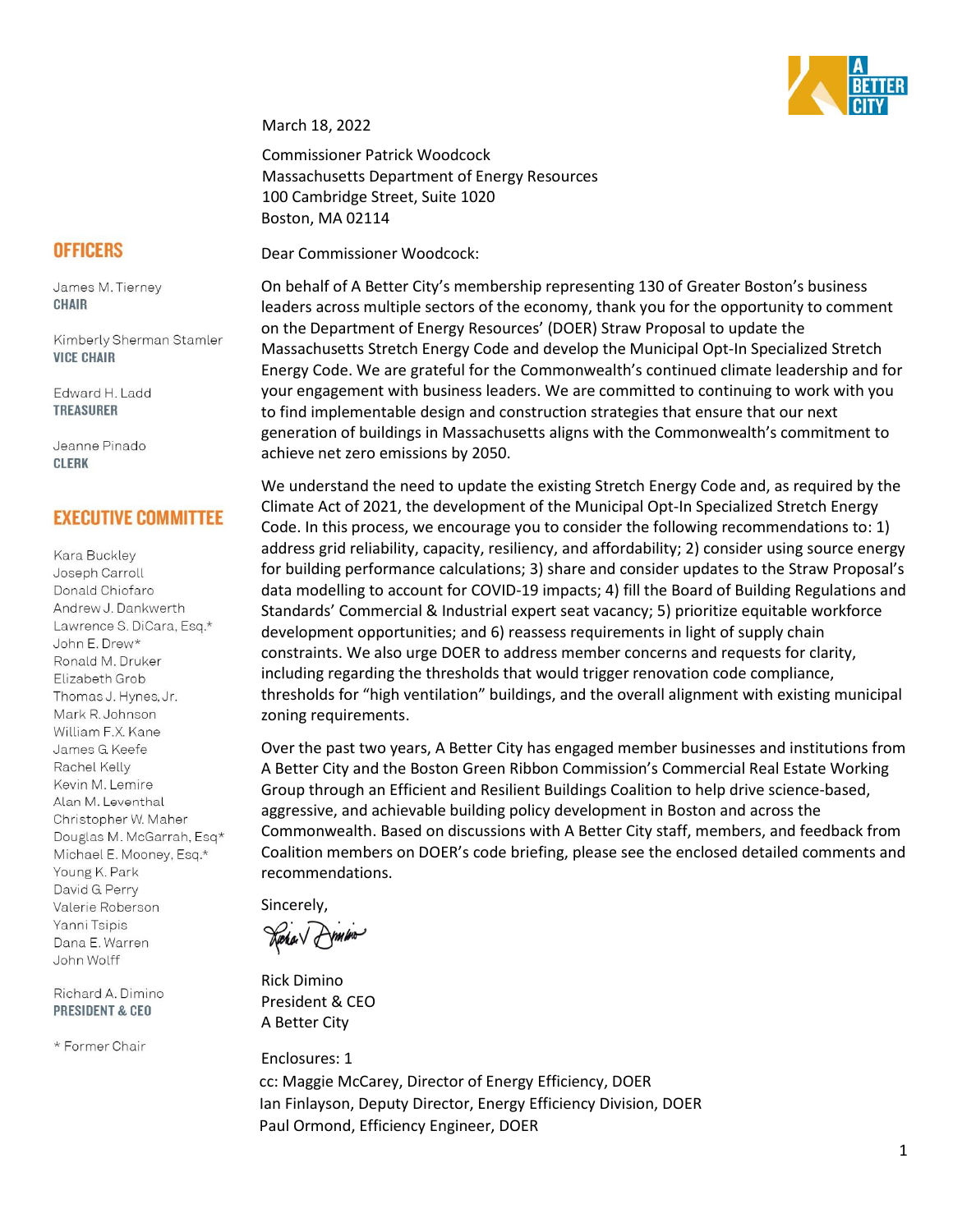

March 18, 2022

Commissioner Patrick Woodcock Massachusetts Department of Energy Resources 100 Cambridge Street, Suite 1020 Boston, MA 02114

Dear Commissioner Woodcock:

On behalf of A Better City's membership representing 130 of Greater Boston's business leaders across multiple sectors of the economy, thank you for the opportunity to comment on the Department of Energy Resources' (DOER) Straw Proposal to update the Massachusetts Stretch Energy Code and develop the Municipal Opt-In Specialized Stretch Energy Code. We are grateful for the Commonwealth's continued climate leadership and for your engagement with business leaders. We are committed to continuing to work with you to find implementable design and construction strategies that ensure that our next generation of buildings in Massachusetts aligns with the Commonwealth's commitment to achieve net zero emissions by 2050.

We understand the need to update the existing Stretch Energy Code and, as required by the Climate Act of 2021, the development of the Municipal Opt-In Specialized Stretch Energy Code. In this process, we encourage you to consider the following recommendations to: 1) address grid reliability, capacity, resiliency, and affordability; 2) consider using source energy for building performance calculations; 3) share and consider updates to the Straw Proposal's data modelling to account for COVID-19 impacts; 4) fill the Board of Building Regulations and Standards' Commercial & Industrial expert seat vacancy; 5) prioritize equitable workforce development opportunities; and 6) reassess requirements in light of supply chain constraints. We also urge DOER to address member concerns and requests for clarity, including regarding the thresholds that would trigger renovation code compliance, thresholds for "high ventilation" buildings, and the overall alignment with existing municipal zoning requirements.

Over the past two years, A Better City has engaged member businesses and institutions from A Better City and the Boston Green Ribbon Commission's Commercial Real Estate Working Group through an Efficient and Resilient Buildings Coalition to help drive science-based, aggressive, and achievable building policy development in Boston and across the Commonwealth. Based on discussions with A Better City staff, members, and feedback from Coalition members on DOER's code briefing, please see the enclosed detailed comments and recommendations.

Sincerely,

Rick Dimino President & CEO A Better City

Enclosures: 1 cc: Maggie McCarey, Director of Energy Efficiency, DOER Ian Finlayson, Deputy Director, Energy Efficiency Division, DOER Paul Ormond, Efficiency Engineer, DOER

# **OFFICERS**

James M. Tierney **CHAIR** 

Kimberly Sherman Stamler **VICE CHAIR** 

Edward H. Ladd **TREASURER** 

Jeanne Pinado **CLERK** 

# **EXECUTIVE COMMITTEE**

Kara Buckley Joseph Carroll Donald Chiofaro Andrew J. Dankwerth Lawrence S. DiCara, Esq.\* John E. Drew\* Ronald M. Druker Elizabeth Grob Thomas J. Hynes, Jr. Mark R. Johnson William F.X. Kane James G. Keefe Rachel Kelly Kevin M. Lemire Alan M. Leventhal Christopher W. Maher Douglas M. McGarrah, Esq\* Michael E. Mooney, Esq.\* Young K. Park David G. Perry Valerie Roberson Yanni Tsipis Dana E. Warren John Wolff

Richard A. Dimino **PRESIDENT & CEO** 

\* Former Chair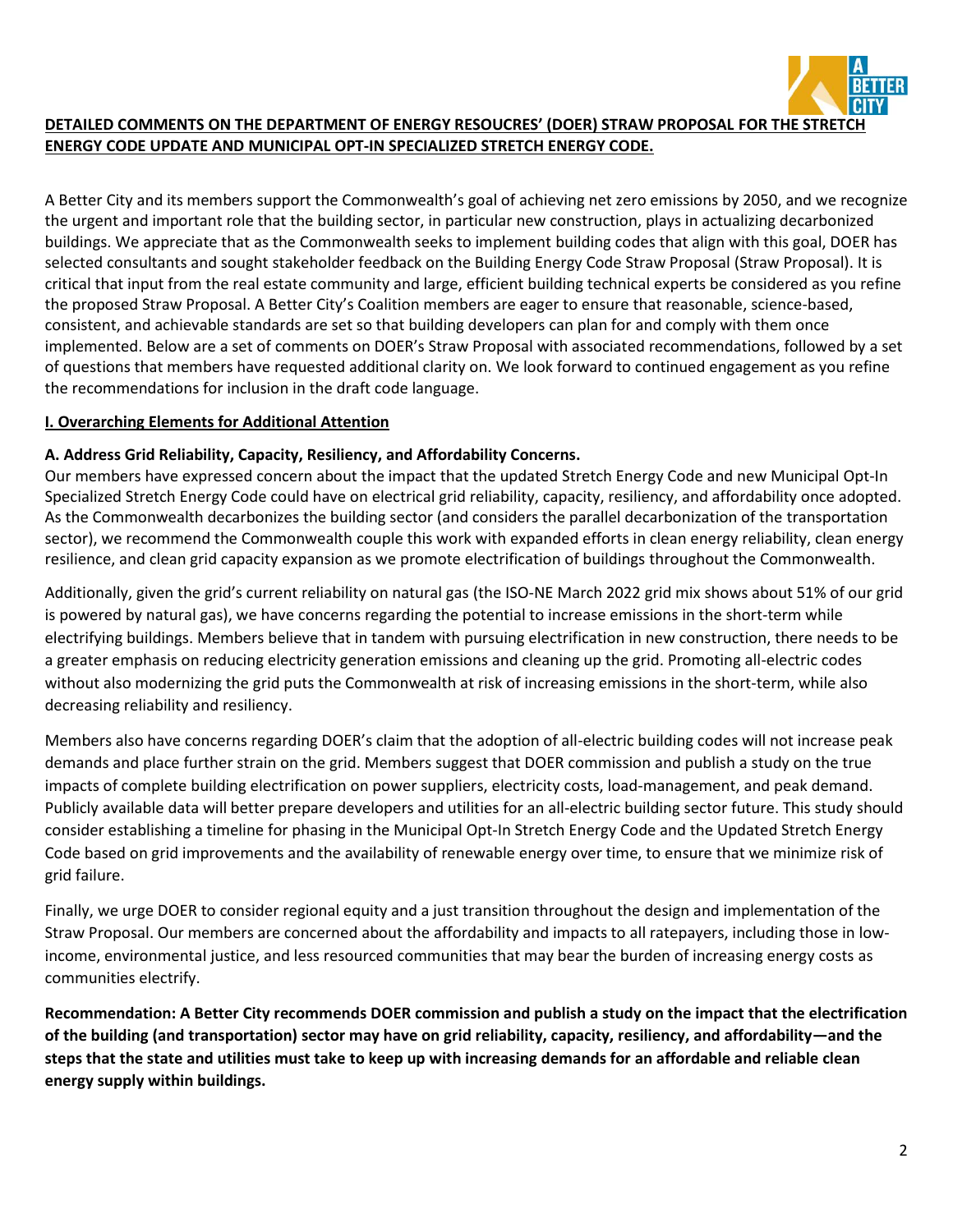

### **DETAILED COMMENTS ON THE DEPARTMENT OF ENERGY RESOUCRES' (DOER) STRAW PROPOSAL FOR THE STRETCH ENERGY CODE UPDATE AND MUNICIPAL OPT-IN SPECIALIZED STRETCH ENERGY CODE.**

A Better City and its members support the Commonwealth's goal of achieving net zero emissions by 2050, and we recognize the urgent and important role that the building sector, in particular new construction, plays in actualizing decarbonized buildings. We appreciate that as the Commonwealth seeks to implement building codes that align with this goal, DOER has selected consultants and sought stakeholder feedback on the Building Energy Code Straw Proposal (Straw Proposal). It is critical that input from the real estate community and large, efficient building technical experts be considered as you refine the proposed Straw Proposal. A Better City's Coalition members are eager to ensure that reasonable, science-based, consistent, and achievable standards are set so that building developers can plan for and comply with them once implemented. Below are a set of comments on DOER's Straw Proposal with associated recommendations, followed by a set of questions that members have requested additional clarity on. We look forward to continued engagement as you refine the recommendations for inclusion in the draft code language.

### **I. Overarching Elements for Additional Attention**

### **A. Address Grid Reliability, Capacity, Resiliency, and Affordability Concerns.**

Our members have expressed concern about the impact that the updated Stretch Energy Code and new Municipal Opt-In Specialized Stretch Energy Code could have on electrical grid reliability, capacity, resiliency, and affordability once adopted. As the Commonwealth decarbonizes the building sector (and considers the parallel decarbonization of the transportation sector), we recommend the Commonwealth couple this work with expanded efforts in clean energy reliability, clean energy resilience, and clean grid capacity expansion as we promote electrification of buildings throughout the Commonwealth.

Additionally, given the grid's current reliability on natural gas (the ISO-NE March 2022 grid mix shows about 51% of our grid is powered by natural gas), we have concerns regarding the potential to increase emissions in the short-term while electrifying buildings. Members believe that in tandem with pursuing electrification in new construction, there needs to be a greater emphasis on reducing electricity generation emissions and cleaning up the grid. Promoting all-electric codes without also modernizing the grid puts the Commonwealth at risk of increasing emissions in the short-term, while also decreasing reliability and resiliency.

Members also have concerns regarding DOER's claim that the adoption of all-electric building codes will not increase peak demands and place further strain on the grid. Members suggest that DOER commission and publish a study on the true impacts of complete building electrification on power suppliers, electricity costs, load-management, and peak demand. Publicly available data will better prepare developers and utilities for an all-electric building sector future. This study should consider establishing a timeline for phasing in the Municipal Opt-In Stretch Energy Code and the Updated Stretch Energy Code based on grid improvements and the availability of renewable energy over time, to ensure that we minimize risk of grid failure.

Finally, we urge DOER to consider regional equity and a just transition throughout the design and implementation of the Straw Proposal. Our members are concerned about the affordability and impacts to all ratepayers, including those in lowincome, environmental justice, and less resourced communities that may bear the burden of increasing energy costs as communities electrify.

**Recommendation: A Better City recommends DOER commission and publish a study on the impact that the electrification of the building (and transportation) sector may have on grid reliability, capacity, resiliency, and affordability—and the steps that the state and utilities must take to keep up with increasing demands for an affordable and reliable clean energy supply within buildings.**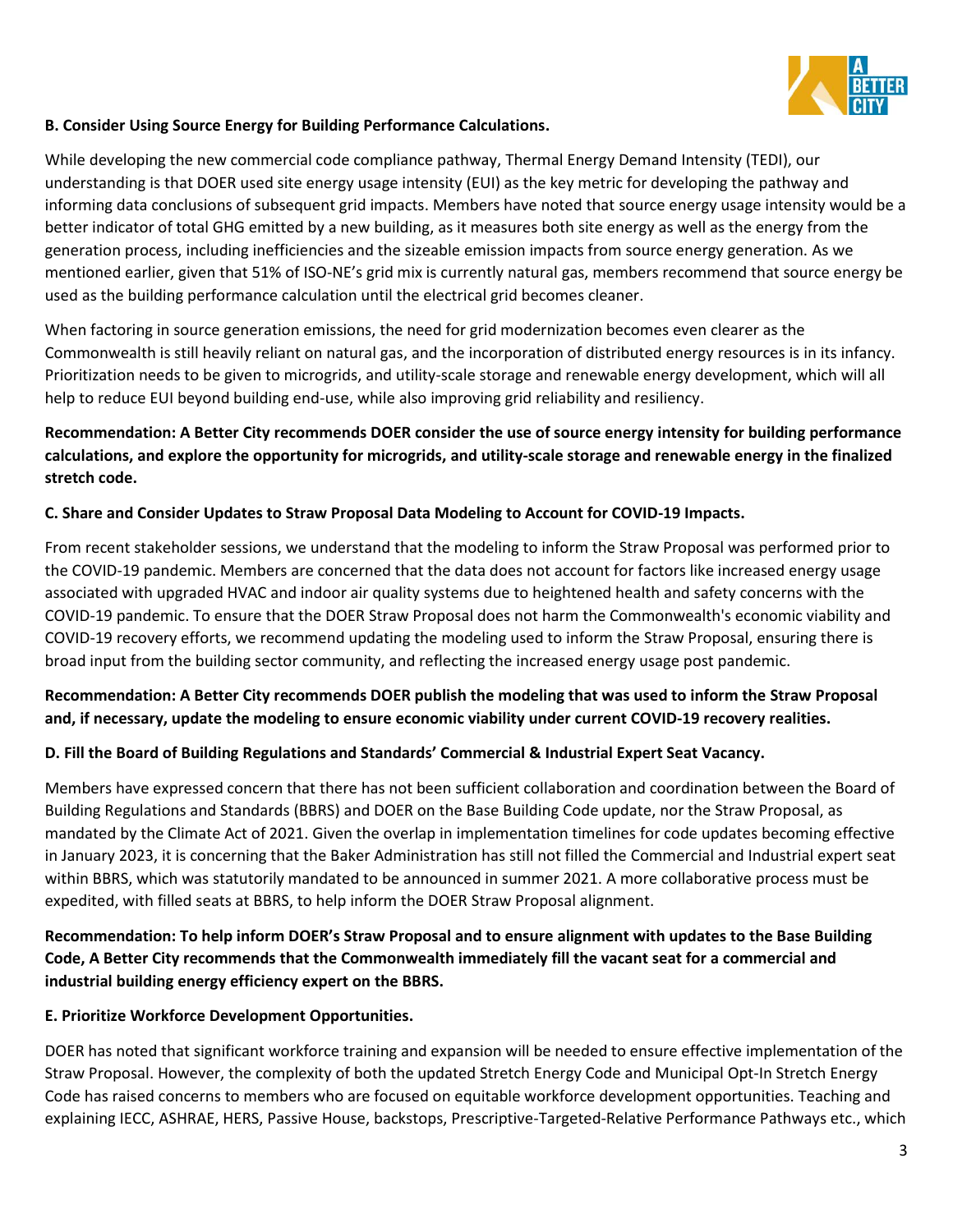

### **B. Consider Using Source Energy for Building Performance Calculations.**

While developing the new commercial code compliance pathway, Thermal Energy Demand Intensity (TEDI), our understanding is that DOER used site energy usage intensity (EUI) as the key metric for developing the pathway and informing data conclusions of subsequent grid impacts. Members have noted that source energy usage intensity would be a better indicator of total GHG emitted by a new building, as it measures both site energy as well as the energy from the generation process, including inefficiencies and the sizeable emission impacts from source energy generation. As we mentioned earlier, given that 51% of ISO-NE's grid mix is currently natural gas, members recommend that source energy be used as the building performance calculation until the electrical grid becomes cleaner.

When factoring in source generation emissions, the need for grid modernization becomes even clearer as the Commonwealth is still heavily reliant on natural gas, and the incorporation of distributed energy resources is in its infancy. Prioritization needs to be given to microgrids, and utility-scale storage and renewable energy development, which will all help to reduce EUI beyond building end-use, while also improving grid reliability and resiliency.

# **Recommendation: A Better City recommends DOER consider the use of source energy intensity for building performance calculations, and explore the opportunity for microgrids, and utility-scale storage and renewable energy in the finalized stretch code.**

### **C. Share and Consider Updates to Straw Proposal Data Modeling to Account for COVID-19 Impacts.**

From recent stakeholder sessions, we understand that the modeling to inform the Straw Proposal was performed prior to the COVID-19 pandemic. Members are concerned that the data does not account for factors like increased energy usage associated with upgraded HVAC and indoor air quality systems due to heightened health and safety concerns with the COVID-19 pandemic. To ensure that the DOER Straw Proposal does not harm the Commonwealth's economic viability and COVID-19 recovery efforts, we recommend updating the modeling used to inform the Straw Proposal, ensuring there is broad input from the building sector community, and reflecting the increased energy usage post pandemic.

## **Recommendation: A Better City recommends DOER publish the modeling that was used to inform the Straw Proposal and, if necessary, update the modeling to ensure economic viability under current COVID-19 recovery realities.**

#### **D. Fill the Board of Building Regulations and Standards' Commercial & Industrial Expert Seat Vacancy.**

Members have expressed concern that there has not been sufficient collaboration and coordination between the Board of Building Regulations and Standards (BBRS) and DOER on the Base Building Code update, nor the Straw Proposal, as mandated by the Climate Act of 2021. Given the overlap in implementation timelines for code updates becoming effective in January 2023, it is concerning that the Baker Administration has still not filled the Commercial and Industrial expert seat within BBRS, which was statutorily mandated to be announced in summer 2021. A more collaborative process must be expedited, with filled seats at BBRS, to help inform the DOER Straw Proposal alignment.

**Recommendation: To help inform DOER's Straw Proposal and to ensure alignment with updates to the Base Building Code, A Better City recommends that the Commonwealth immediately fill the vacant seat for a commercial and industrial building energy efficiency expert on the BBRS.** 

#### **E. Prioritize Workforce Development Opportunities.**

DOER has noted that significant workforce training and expansion will be needed to ensure effective implementation of the Straw Proposal. However, the complexity of both the updated Stretch Energy Code and Municipal Opt-In Stretch Energy Code has raised concerns to members who are focused on equitable workforce development opportunities. Teaching and explaining IECC, ASHRAE, HERS, Passive House, backstops, Prescriptive-Targeted-Relative Performance Pathways etc., which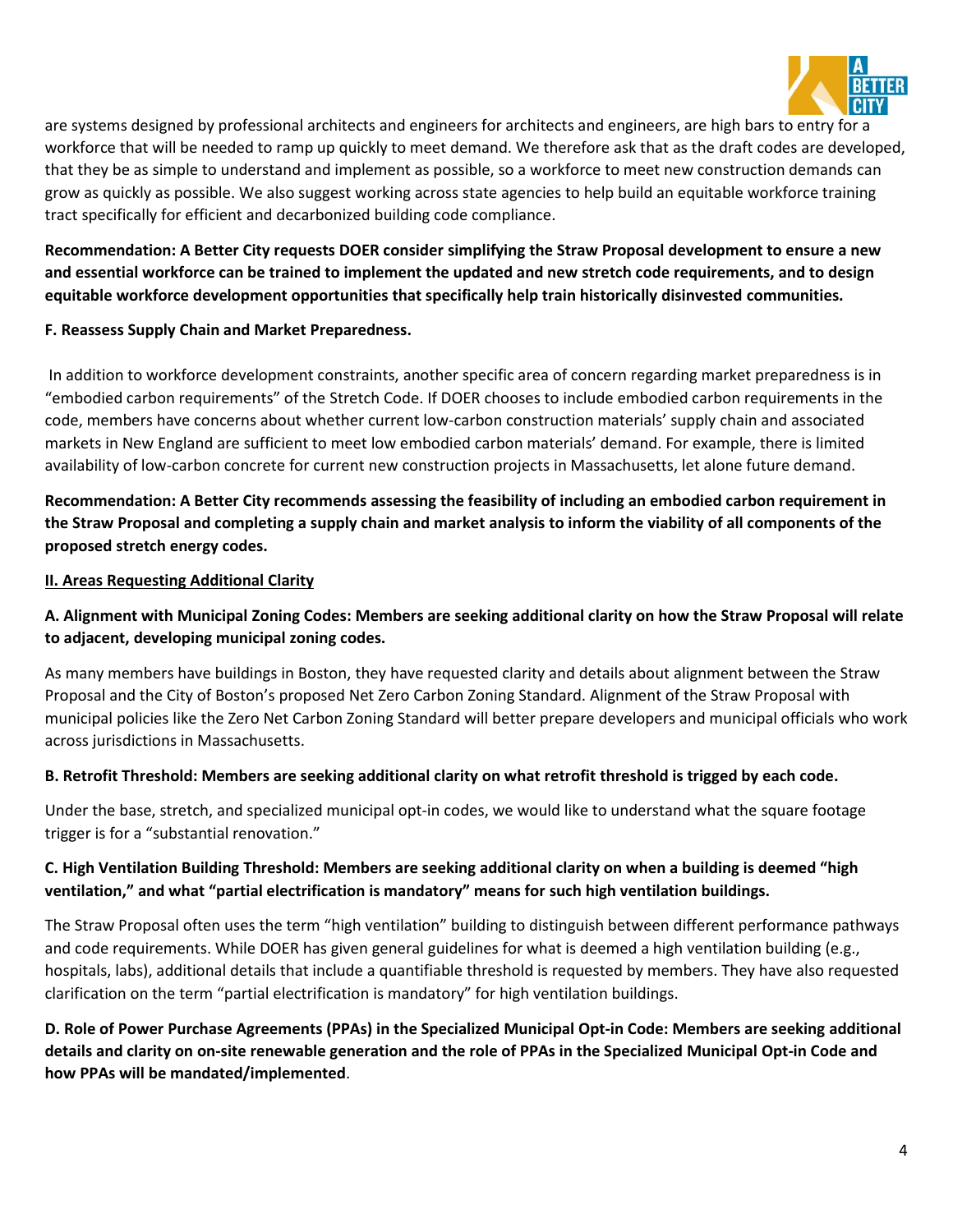

are systems designed by professional architects and engineers for architects and engineers, are high bars to entry for a workforce that will be needed to ramp up quickly to meet demand. We therefore ask that as the draft codes are developed, that they be as simple to understand and implement as possible, so a workforce to meet new construction demands can grow as quickly as possible. We also suggest working across state agencies to help build an equitable workforce training tract specifically for efficient and decarbonized building code compliance.

# **Recommendation: A Better City requests DOER consider simplifying the Straw Proposal development to ensure a new and essential workforce can be trained to implement the updated and new stretch code requirements, and to design equitable workforce development opportunities that specifically help train historically disinvested communities.**

### **F. Reassess Supply Chain and Market Preparedness.**

In addition to workforce development constraints, another specific area of concern regarding market preparedness is in "embodied carbon requirements" of the Stretch Code. If DOER chooses to include embodied carbon requirements in the code, members have concerns about whether current low-carbon construction materials' supply chain and associated markets in New England are sufficient to meet low embodied carbon materials' demand. For example, there is limited availability of low-carbon concrete for current new construction projects in Massachusetts, let alone future demand.

**Recommendation: A Better City recommends assessing the feasibility of including an embodied carbon requirement in the Straw Proposal and completing a supply chain and market analysis to inform the viability of all components of the proposed stretch energy codes.** 

#### **II. Areas Requesting Additional Clarity**

## **A. Alignment with Municipal Zoning Codes: Members are seeking additional clarity on how the Straw Proposal will relate to adjacent, developing municipal zoning codes.**

As many members have buildings in Boston, they have requested clarity and details about alignment between the Straw Proposal and the City of Boston's proposed Net Zero Carbon Zoning Standard. Alignment of the Straw Proposal with municipal policies like the Zero Net Carbon Zoning Standard will better prepare developers and municipal officials who work across jurisdictions in Massachusetts.

#### **B. Retrofit Threshold: Members are seeking additional clarity on what retrofit threshold is trigged by each code.**

Under the base, stretch, and specialized municipal opt-in codes, we would like to understand what the square footage trigger is for a "substantial renovation."

## **C. High Ventilation Building Threshold: Members are seeking additional clarity on when a building is deemed "high ventilation," and what "partial electrification is mandatory" means for such high ventilation buildings.**

The Straw Proposal often uses the term "high ventilation" building to distinguish between different performance pathways and code requirements. While DOER has given general guidelines for what is deemed a high ventilation building (e.g., hospitals, labs), additional details that include a quantifiable threshold is requested by members. They have also requested clarification on the term "partial electrification is mandatory" for high ventilation buildings.

**D. Role of Power Purchase Agreements (PPAs) in the Specialized Municipal Opt-in Code: Members are seeking additional details and clarity on on-site renewable generation and the role of PPAs in the Specialized Municipal Opt-in Code and how PPAs will be mandated/implemented**.